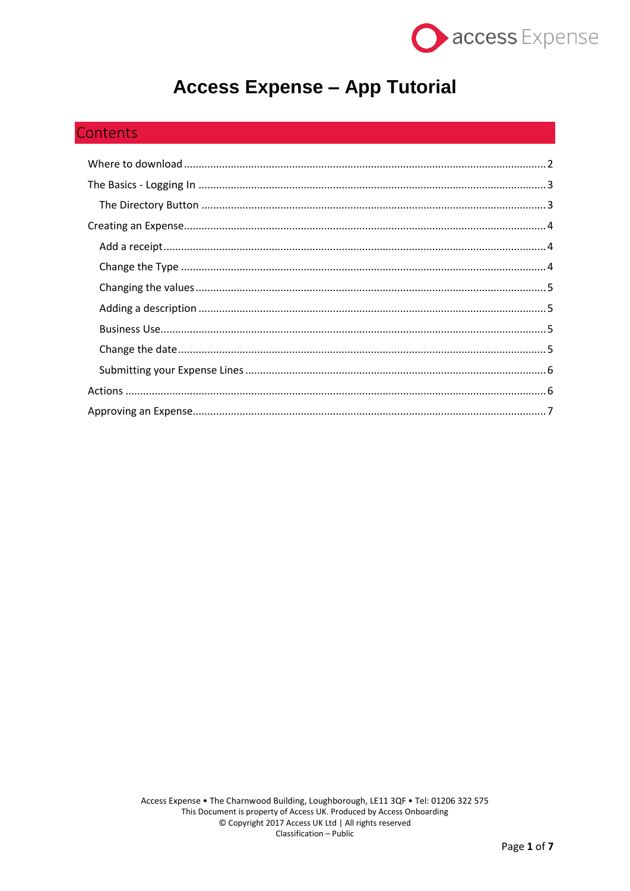

# **Access Expense - App Tutorial**

# Contents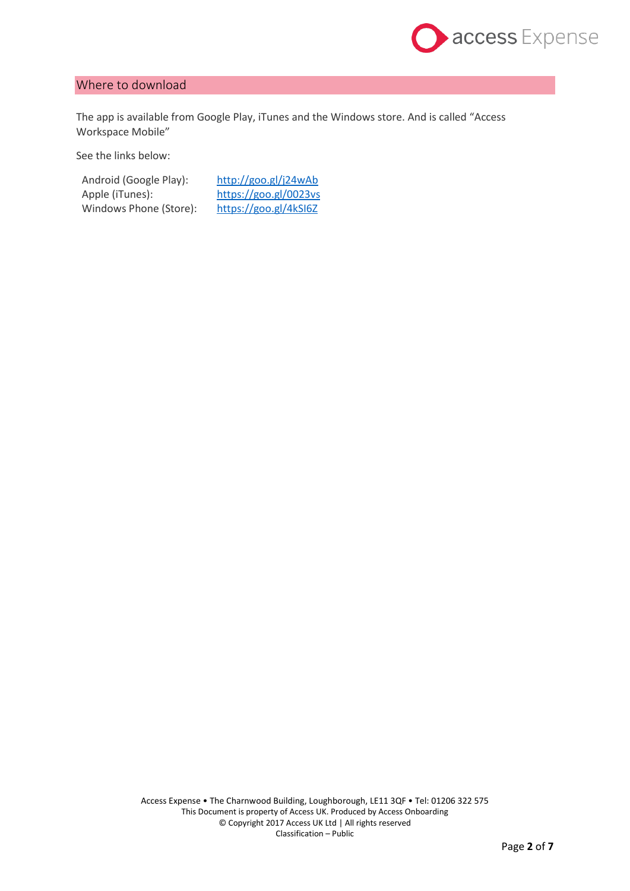

# <span id="page-1-0"></span>Where to download

The app is available from Google Play, iTunes and the Windows store. And is called "Access Workspace Mobile"

See the links below:

Android (Google Play): <http://goo.gl/j24wAb> Apple (iTunes): <https://goo.gl/0023vs> Windows Phone (Store): <https://goo.gl/4kSI6Z>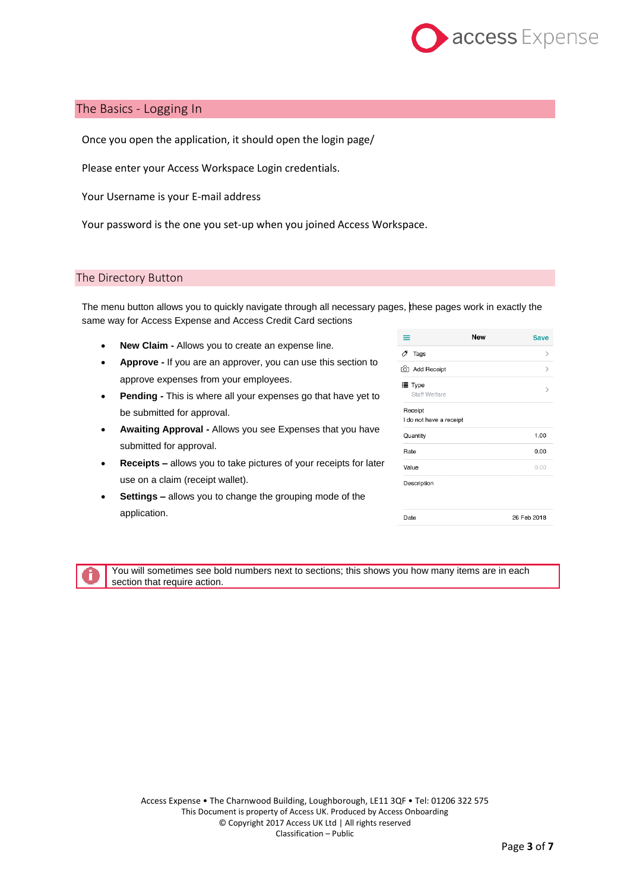

# <span id="page-2-0"></span>The Basics - Logging In

Once you open the application, it should open the login page/

Please enter your Access Workspace Login credentials.

Your Username is your E-mail address

Your password is the one you set-up when you joined Access Workspace.

#### <span id="page-2-1"></span>The Directory Button

The menu button allows you to quickly navigate through all necessary pages, these pages work in exactly the same way for Access Expense and Access Credit Card sections

- **New Claim -** Allows you to create an expense line.
- **Approve -** If you are an approver, you can use this section to approve expenses from your employees.
- **Pending -** This is where all your expenses go that have yet to be submitted for approval.
- **Awaiting Approval -** Allows you see Expenses that you have submitted for approval.
- **Receipts –** allows you to take pictures of your receipts for later use on a claim (receipt wallet).
- **Settings –** allows you to change the grouping mode of the application.

| ≡                                  | <b>New</b> | <b>Save</b> |
|------------------------------------|------------|-------------|
| 0<br>Tags                          |            | ⋋           |
| add Receipt                        |            | ゝ           |
| i≣ Type<br><b>Staff Welfare</b>    |            |             |
| Receipt<br>I do not have a receipt |            |             |
| Quantity                           |            | 1.00        |
| Rate                               |            | 0.00        |
| Value                              |            | 0.00        |
| Description                        |            |             |
| Date                               |            | 26 Feb 2018 |



You will sometimes see bold numbers next to sections; this shows you how many items are in each section that require action.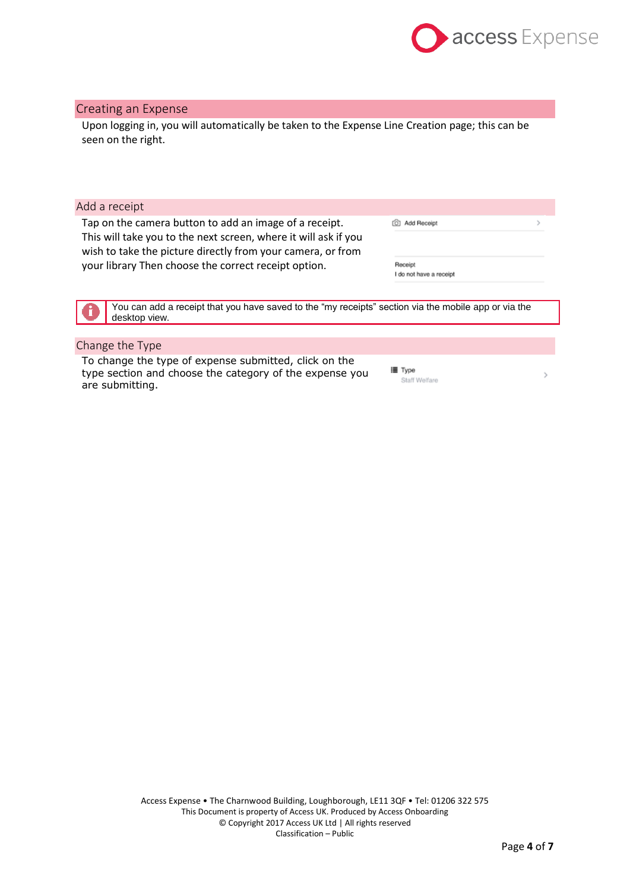

## <span id="page-3-0"></span>Creating an Expense

Upon logging in, you will automatically be taken to the Expense Line Creation page; this can be seen on the right.

<span id="page-3-1"></span>

| Add a receipt                                                                                                                                                                                           |                                    |  |
|---------------------------------------------------------------------------------------------------------------------------------------------------------------------------------------------------------|------------------------------------|--|
| Tap on the camera button to add an image of a receipt.<br>Add Receipt<br>This will take you to the next screen, where it will ask if you<br>wish to take the picture directly from your camera, or from |                                    |  |
| your library Then choose the correct receipt option.                                                                                                                                                    | Receipt<br>I do not have a receipt |  |
|                                                                                                                                                                                                         |                                    |  |
| You can add a receipt that you have saved to the "my receipts" section via the mobile app or via the<br>desktop view.                                                                                   |                                    |  |

# <span id="page-3-2"></span>Change the Type

To change the type of expense submitted, click on the type section and choose the category of the expense you are submitting.

**i≣** Type Staff Welfare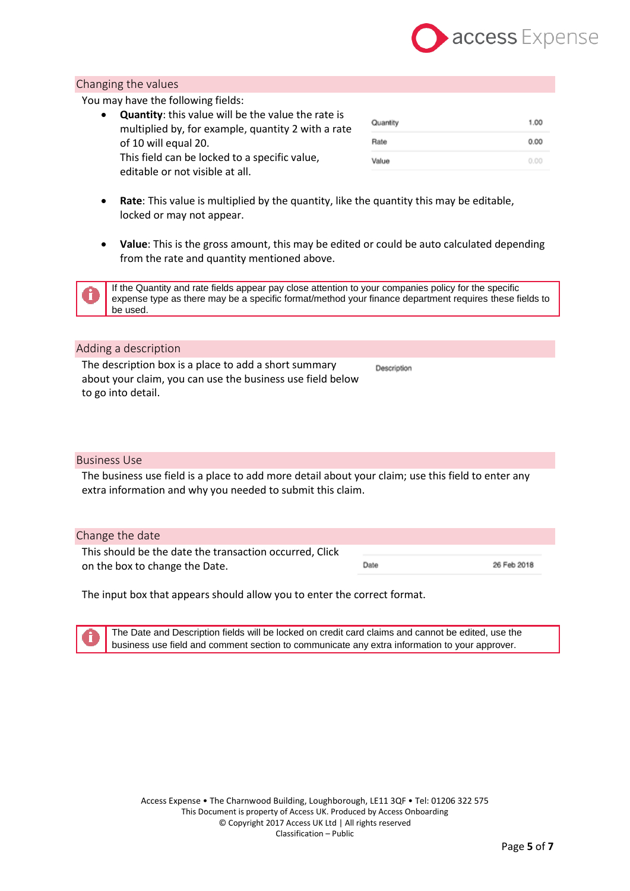

## <span id="page-4-0"></span>Changing the values

You may have the following fields:

 **Quantity**: this value will be the value the rate is multiplied by, for example, quantity 2 with a rate of 10 will equal 20. This field can be locked to a specific value, editable or not visible at all.

| Quantity | 1.00 |
|----------|------|
| Rate     | 0.00 |
| Value    | 0.00 |

- **Rate**: This value is multiplied by the quantity, like the quantity this may be editable, locked or may not appear.
- **Value**: This is the gross amount, this may be edited or could be auto calculated depending from the rate and quantity mentioned above.

If the Quantity and rate fields appear pay close attention to your companies policy for the specific expense type as there may be a specific format/method your finance department requires these fields to be used.

Description

#### <span id="page-4-1"></span>Adding a description

The description box is a place to add a short summary about your claim, you can use the business use field below to go into detail.

#### <span id="page-4-2"></span>Business Use

The business use field is a place to add more detail about your claim; use this field to enter any extra information and why you needed to submit this claim.

#### <span id="page-4-3"></span>Change the date

This should be the date the transaction occurred, Click Date 26 Feb 2018 on the box to change the Date.

The input box that appears should allow you to enter the correct format.

The Date and Description fields will be locked on credit card claims and cannot be edited, use the business use field and comment section to communicate any extra information to your approver.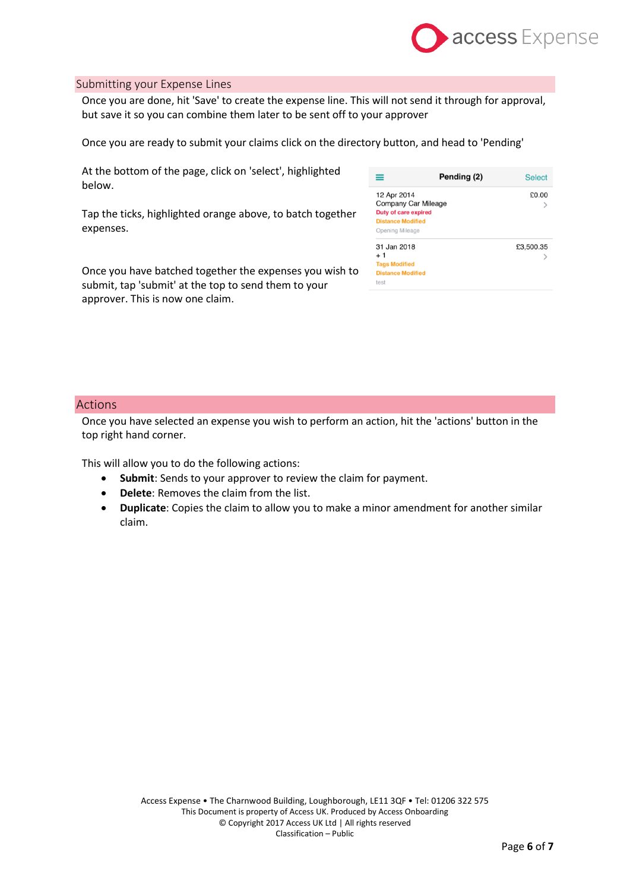

#### <span id="page-5-0"></span>Submitting your Expense Lines

Once you are done, hit 'Save' to create the expense line. This will not send it through for approval, but save it so you can combine them later to be sent off to your approver

Once you are ready to submit your claims click on the directory button, and head to 'Pending'

At the bottom of the page, click on 'select', highlighted below.

Tap the ticks, highlighted orange above, to batch together expenses.

Once you have batched together the expenses you wish to submit, tap 'submit' at the top to send them to your approver. This is now one claim.

|                                                                                                                  | Pending (2) | <b>Select</b> |
|------------------------------------------------------------------------------------------------------------------|-------------|---------------|
| 12 Apr 2014<br>Company Car Mileage<br><b>Duty of care expired</b><br><b>Distance Modified</b><br>Opening Mileage |             | £0.00         |
| 31 Jan 2018<br>+ 1<br><b>Tags Modified</b><br><b>Distance Modified</b><br>test                                   |             | £3,500.35     |

#### <span id="page-5-1"></span>Actions

Once you have selected an expense you wish to perform an action, hit the 'actions' button in the top right hand corner.

This will allow you to do the following actions:

- **Submit**: Sends to your approver to review the claim for payment.
- **Delete**: Removes the claim from the list.
- **Duplicate**: Copies the claim to allow you to make a minor amendment for another similar claim.